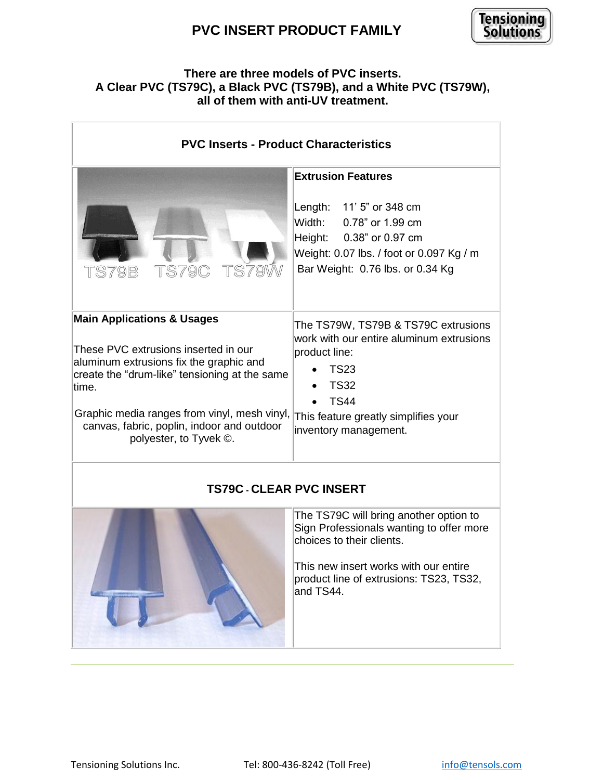

### **There are three models of PVC inserts. A Clear PVC (TS79C), a Black PVC (TS79B), and a White PVC (TS79W), all of them with anti-UV treatment.**

| <b>PVC Inserts - Product Characteristics</b>                                                                                                                                                                                                                                                               |                                                                                                                                                                                                                  |
|------------------------------------------------------------------------------------------------------------------------------------------------------------------------------------------------------------------------------------------------------------------------------------------------------------|------------------------------------------------------------------------------------------------------------------------------------------------------------------------------------------------------------------|
| TS79B TS79C TS79W                                                                                                                                                                                                                                                                                          | <b>Extrusion Features</b><br>Length: 11' 5" or 348 cm<br>Width: 0.78" or 1.99 cm<br>Height: 0.38" or 0.97 cm<br>Weight: 0.07 lbs. / foot or 0.097 Kg / m<br>Bar Weight: 0.76 lbs. or 0.34 Kg                     |
| <b>Main Applications &amp; Usages</b><br>These PVC extrusions inserted in our<br>aluminum extrusions fix the graphic and<br>create the "drum-like" tensioning at the same<br>time.<br>Graphic media ranges from vinyl, mesh vinyl,<br>canvas, fabric, poplin, indoor and outdoor<br>polyester, to Tyvek ©. | The TS79W, TS79B & TS79C extrusions<br>work with our entire aluminum extrusions<br>product line:<br><b>TS23</b><br><b>TS32</b><br><b>TS44</b><br>This feature greatly simplifies your<br>inventory management.   |
| <b>TS79C - CLEAR PVC INSERT</b>                                                                                                                                                                                                                                                                            |                                                                                                                                                                                                                  |
|                                                                                                                                                                                                                                                                                                            | The TS79C will bring another option to<br>Sign Professionals wanting to offer more<br>choices to their clients.<br>This new insert works with our entire<br>product line of extrusions: TS23, TS32,<br>and TS44. |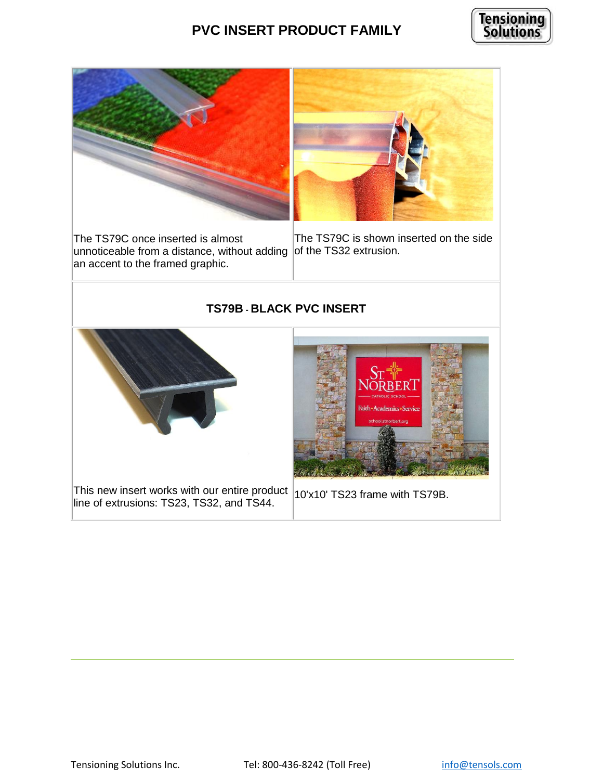



The TS79C once inserted is almost unnoticeable from a distance, without adding of the TS32 extrusion. an accent to the framed graphic.

The TS79C is shown inserted on the side

#### **TS79B - BLACK PVC INSERT**



This new insert works with our entire product  $|10x10|$  TS23 frame with TS79B. line of extrusions: TS23, TS32, and TS44.

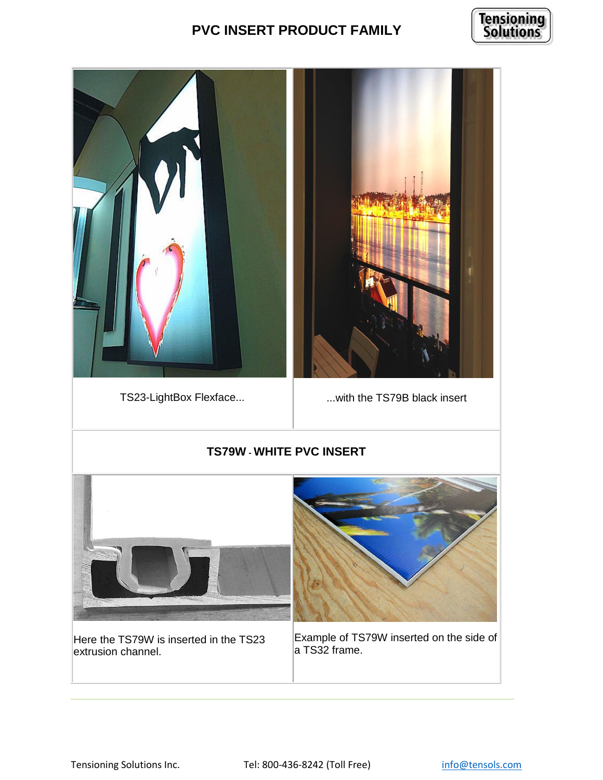